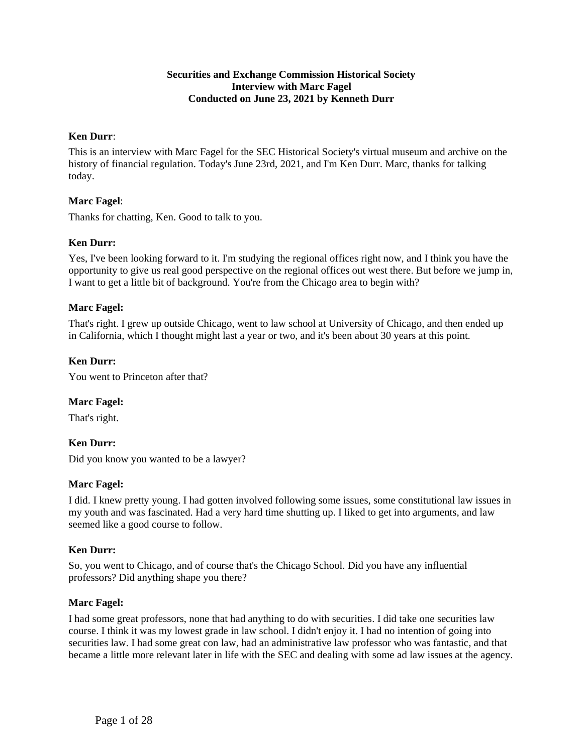## **Securities and Exchange Commission Historical Society Interview with Marc Fagel Conducted on June 23, 2021 by Kenneth Durr**

## **Ken Durr**:

This is an interview with Marc Fagel for the SEC Historical Society's virtual museum and archive on the history of financial regulation. Today's June 23rd, 2021, and I'm Ken Durr. Marc, thanks for talking today.

## **Marc Fagel**:

Thanks for chatting, Ken. Good to talk to you.

### **Ken Durr:**

Yes, I've been looking forward to it. I'm studying the regional offices right now, and I think you have the opportunity to give us real good perspective on the regional offices out west there. But before we jump in, I want to get a little bit of background. You're from the Chicago area to begin with?

### **Marc Fagel:**

That's right. I grew up outside Chicago, went to law school at University of Chicago, and then ended up in California, which I thought might last a year or two, and it's been about 30 years at this point.

### **Ken Durr:**

You went to Princeton after that?

### **Marc Fagel:**

That's right.

### **Ken Durr:**

Did you know you wanted to be a lawyer?

#### **Marc Fagel:**

I did. I knew pretty young. I had gotten involved following some issues, some constitutional law issues in my youth and was fascinated. Had a very hard time shutting up. I liked to get into arguments, and law seemed like a good course to follow.

### **Ken Durr:**

So, you went to Chicago, and of course that's the Chicago School. Did you have any influential professors? Did anything shape you there?

#### **Marc Fagel:**

I had some great professors, none that had anything to do with securities. I did take one securities law course. I think it was my lowest grade in law school. I didn't enjoy it. I had no intention of going into securities law. I had some great con law, had an administrative law professor who was fantastic, and that became a little more relevant later in life with the SEC and dealing with some ad law issues at the agency.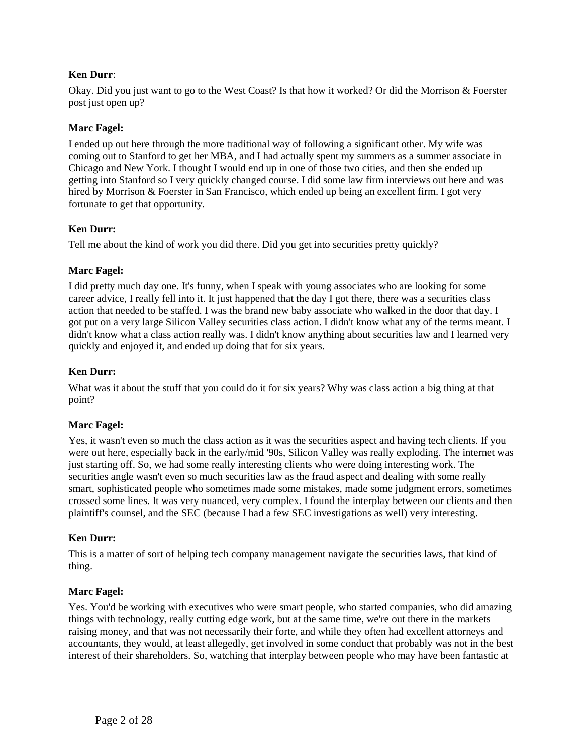## **Ken Durr**:

Okay. Did you just want to go to the West Coast? Is that how it worked? Or did the Morrison & Foerster post just open up?

### **Marc Fagel:**

I ended up out here through the more traditional way of following a significant other. My wife was coming out to Stanford to get her MBA, and I had actually spent my summers as a summer associate in Chicago and New York. I thought I would end up in one of those two cities, and then she ended up getting into Stanford so I very quickly changed course. I did some law firm interviews out here and was hired by Morrison & Foerster in San Francisco, which ended up being an excellent firm. I got very fortunate to get that opportunity.

### **Ken Durr:**

Tell me about the kind of work you did there. Did you get into securities pretty quickly?

## **Marc Fagel:**

I did pretty much day one. It's funny, when I speak with young associates who are looking for some career advice, I really fell into it. It just happened that the day I got there, there was a securities class action that needed to be staffed. I was the brand new baby associate who walked in the door that day. I got put on a very large Silicon Valley securities class action. I didn't know what any of the terms meant. I didn't know what a class action really was. I didn't know anything about securities law and I learned very quickly and enjoyed it, and ended up doing that for six years.

## **Ken Durr:**

What was it about the stuff that you could do it for six years? Why was class action a big thing at that point?

### **Marc Fagel:**

Yes, it wasn't even so much the class action as it was the securities aspect and having tech clients. If you were out here, especially back in the early/mid '90s, Silicon Valley was really exploding. The internet was just starting off. So, we had some really interesting clients who were doing interesting work. The securities angle wasn't even so much securities law as the fraud aspect and dealing with some really smart, sophisticated people who sometimes made some mistakes, made some judgment errors, sometimes crossed some lines. It was very nuanced, very complex. I found the interplay between our clients and then plaintiff's counsel, and the SEC (because I had a few SEC investigations as well) very interesting.

### **Ken Durr:**

This is a matter of sort of helping tech company management navigate the securities laws, that kind of thing.

### **Marc Fagel:**

Yes. You'd be working with executives who were smart people, who started companies, who did amazing things with technology, really cutting edge work, but at the same time, we're out there in the markets raising money, and that was not necessarily their forte, and while they often had excellent attorneys and accountants, they would, at least allegedly, get involved in some conduct that probably was not in the best interest of their shareholders. So, watching that interplay between people who may have been fantastic at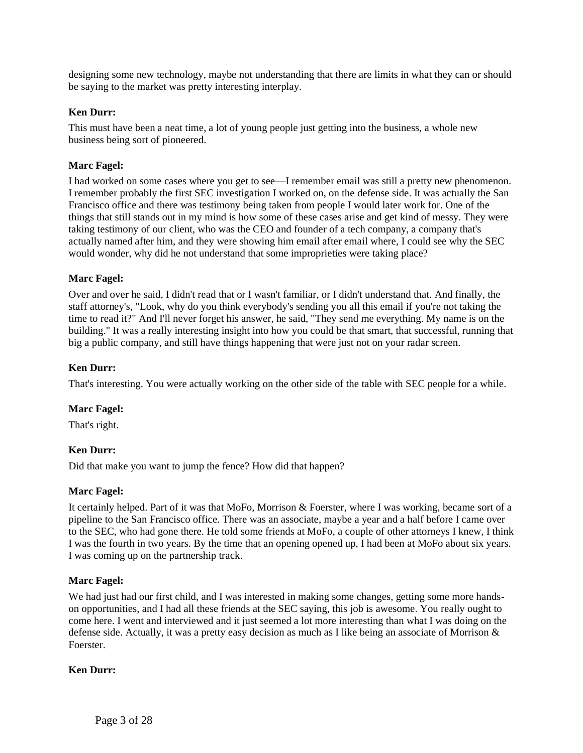designing some new technology, maybe not understanding that there are limits in what they can or should be saying to the market was pretty interesting interplay.

### **Ken Durr:**

This must have been a neat time, a lot of young people just getting into the business, a whole new business being sort of pioneered.

### **Marc Fagel:**

I had worked on some cases where you get to see—I remember email was still a pretty new phenomenon. I remember probably the first SEC investigation I worked on, on the defense side. It was actually the San Francisco office and there was testimony being taken from people I would later work for. One of the things that still stands out in my mind is how some of these cases arise and get kind of messy. They were taking testimony of our client, who was the CEO and founder of a tech company, a company that's actually named after him, and they were showing him email after email where, I could see why the SEC would wonder, why did he not understand that some improprieties were taking place?

#### **Marc Fagel:**

Over and over he said, I didn't read that or I wasn't familiar, or I didn't understand that. And finally, the staff attorney's, "Look, why do you think everybody's sending you all this email if you're not taking the time to read it?" And I'll never forget his answer, he said, "They send me everything. My name is on the building." It was a really interesting insight into how you could be that smart, that successful, running that big a public company, and still have things happening that were just not on your radar screen.

### **Ken Durr:**

That's interesting. You were actually working on the other side of the table with SEC people for a while.

#### **Marc Fagel:**

That's right.

### **Ken Durr:**

Did that make you want to jump the fence? How did that happen?

#### **Marc Fagel:**

It certainly helped. Part of it was that MoFo, Morrison & Foerster, where I was working, became sort of a pipeline to the San Francisco office. There was an associate, maybe a year and a half before I came over to the SEC, who had gone there. He told some friends at MoFo, a couple of other attorneys I knew, I think I was the fourth in two years. By the time that an opening opened up, I had been at MoFo about six years. I was coming up on the partnership track.

### **Marc Fagel:**

We had just had our first child, and I was interested in making some changes, getting some more handson opportunities, and I had all these friends at the SEC saying, this job is awesome. You really ought to come here. I went and interviewed and it just seemed a lot more interesting than what I was doing on the defense side. Actually, it was a pretty easy decision as much as I like being an associate of Morrison & Foerster.

#### **Ken Durr:**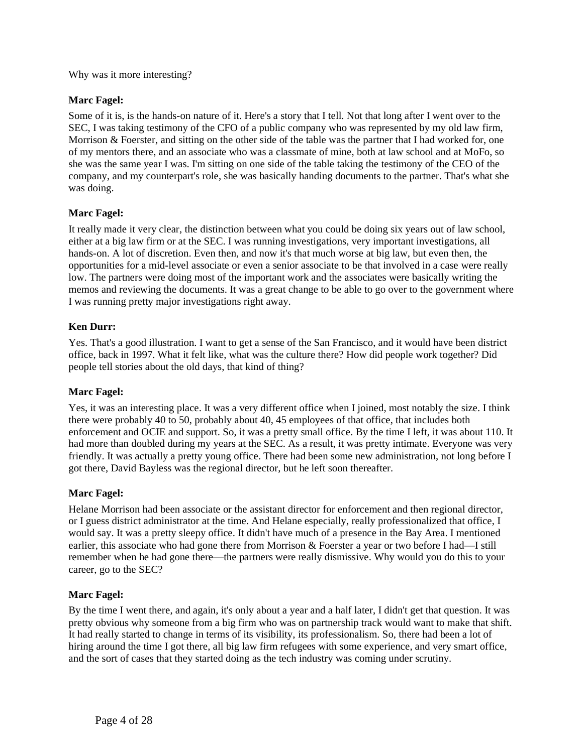Why was it more interesting?

# **Marc Fagel:**

Some of it is, is the hands-on nature of it. Here's a story that I tell. Not that long after I went over to the SEC, I was taking testimony of the CFO of a public company who was represented by my old law firm, Morrison & Foerster, and sitting on the other side of the table was the partner that I had worked for, one of my mentors there, and an associate who was a classmate of mine, both at law school and at MoFo, so she was the same year I was. I'm sitting on one side of the table taking the testimony of the CEO of the company, and my counterpart's role, she was basically handing documents to the partner. That's what she was doing.

# **Marc Fagel:**

It really made it very clear, the distinction between what you could be doing six years out of law school, either at a big law firm or at the SEC. I was running investigations, very important investigations, all hands-on. A lot of discretion. Even then, and now it's that much worse at big law, but even then, the opportunities for a mid-level associate or even a senior associate to be that involved in a case were really low. The partners were doing most of the important work and the associates were basically writing the memos and reviewing the documents. It was a great change to be able to go over to the government where I was running pretty major investigations right away.

# **Ken Durr:**

Yes. That's a good illustration. I want to get a sense of the San Francisco, and it would have been district office, back in 1997. What it felt like, what was the culture there? How did people work together? Did people tell stories about the old days, that kind of thing?

# **Marc Fagel:**

Yes, it was an interesting place. It was a very different office when I joined, most notably the size. I think there were probably 40 to 50, probably about 40, 45 employees of that office, that includes both enforcement and OCIE and support. So, it was a pretty small office. By the time I left, it was about 110. It had more than doubled during my years at the SEC. As a result, it was pretty intimate. Everyone was very friendly. It was actually a pretty young office. There had been some new administration, not long before I got there, David Bayless was the regional director, but he left soon thereafter.

# **Marc Fagel:**

Helane Morrison had been associate or the assistant director for enforcement and then regional director, or I guess district administrator at the time. And Helane especially, really professionalized that office, I would say. It was a pretty sleepy office. It didn't have much of a presence in the Bay Area. I mentioned earlier, this associate who had gone there from Morrison & Foerster a year or two before I had—I still remember when he had gone there—the partners were really dismissive. Why would you do this to your career, go to the SEC?

### **Marc Fagel:**

By the time I went there, and again, it's only about a year and a half later, I didn't get that question. It was pretty obvious why someone from a big firm who was on partnership track would want to make that shift. It had really started to change in terms of its visibility, its professionalism. So, there had been a lot of hiring around the time I got there, all big law firm refugees with some experience, and very smart office, and the sort of cases that they started doing as the tech industry was coming under scrutiny.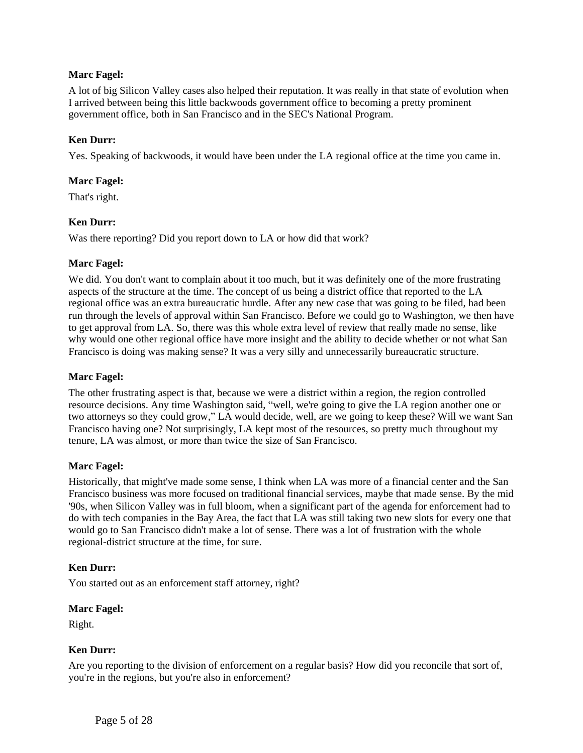## **Marc Fagel:**

A lot of big Silicon Valley cases also helped their reputation. It was really in that state of evolution when I arrived between being this little backwoods government office to becoming a pretty prominent government office, both in San Francisco and in the SEC's National Program.

## **Ken Durr:**

Yes. Speaking of backwoods, it would have been under the LA regional office at the time you came in.

### **Marc Fagel:**

That's right.

### **Ken Durr:**

Was there reporting? Did you report down to LA or how did that work?

### **Marc Fagel:**

We did. You don't want to complain about it too much, but it was definitely one of the more frustrating aspects of the structure at the time. The concept of us being a district office that reported to the LA regional office was an extra bureaucratic hurdle. After any new case that was going to be filed, had been run through the levels of approval within San Francisco. Before we could go to Washington, we then have to get approval from LA. So, there was this whole extra level of review that really made no sense, like why would one other regional office have more insight and the ability to decide whether or not what San Francisco is doing was making sense? It was a very silly and unnecessarily bureaucratic structure.

### **Marc Fagel:**

The other frustrating aspect is that, because we were a district within a region, the region controlled resource decisions. Any time Washington said, "well, we're going to give the LA region another one or two attorneys so they could grow," LA would decide, well, are we going to keep these? Will we want San Francisco having one? Not surprisingly, LA kept most of the resources, so pretty much throughout my tenure, LA was almost, or more than twice the size of San Francisco.

### **Marc Fagel:**

Historically, that might've made some sense, I think when LA was more of a financial center and the San Francisco business was more focused on traditional financial services, maybe that made sense. By the mid '90s, when Silicon Valley was in full bloom, when a significant part of the agenda for enforcement had to do with tech companies in the Bay Area, the fact that LA was still taking two new slots for every one that would go to San Francisco didn't make a lot of sense. There was a lot of frustration with the whole regional-district structure at the time, for sure.

### **Ken Durr:**

You started out as an enforcement staff attorney, right?

#### **Marc Fagel:**

Right.

### **Ken Durr:**

Are you reporting to the division of enforcement on a regular basis? How did you reconcile that sort of, you're in the regions, but you're also in enforcement?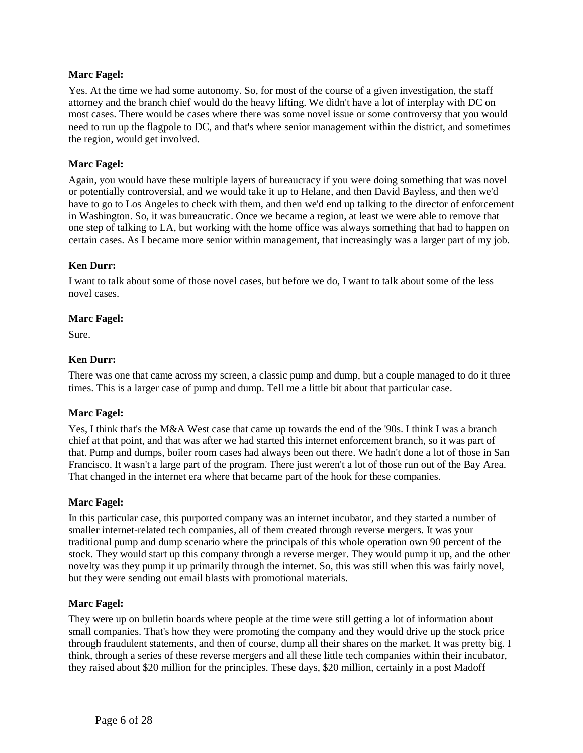## **Marc Fagel:**

Yes. At the time we had some autonomy. So, for most of the course of a given investigation, the staff attorney and the branch chief would do the heavy lifting. We didn't have a lot of interplay with DC on most cases. There would be cases where there was some novel issue or some controversy that you would need to run up the flagpole to DC, and that's where senior management within the district, and sometimes the region, would get involved.

## **Marc Fagel:**

Again, you would have these multiple layers of bureaucracy if you were doing something that was novel or potentially controversial, and we would take it up to Helane, and then David Bayless, and then we'd have to go to Los Angeles to check with them, and then we'd end up talking to the director of enforcement in Washington. So, it was bureaucratic. Once we became a region, at least we were able to remove that one step of talking to LA, but working with the home office was always something that had to happen on certain cases. As I became more senior within management, that increasingly was a larger part of my job.

## **Ken Durr:**

I want to talk about some of those novel cases, but before we do, I want to talk about some of the less novel cases.

### **Marc Fagel:**

Sure.

### **Ken Durr:**

There was one that came across my screen, a classic pump and dump, but a couple managed to do it three times. This is a larger case of pump and dump. Tell me a little bit about that particular case.

### **Marc Fagel:**

Yes, I think that's the M&A West case that came up towards the end of the '90s. I think I was a branch chief at that point, and that was after we had started this internet enforcement branch, so it was part of that. Pump and dumps, boiler room cases had always been out there. We hadn't done a lot of those in San Francisco. It wasn't a large part of the program. There just weren't a lot of those run out of the Bay Area. That changed in the internet era where that became part of the hook for these companies.

### **Marc Fagel:**

In this particular case, this purported company was an internet incubator, and they started a number of smaller internet-related tech companies, all of them created through reverse mergers. It was your traditional pump and dump scenario where the principals of this whole operation own 90 percent of the stock. They would start up this company through a reverse merger. They would pump it up, and the other novelty was they pump it up primarily through the internet. So, this was still when this was fairly novel, but they were sending out email blasts with promotional materials.

### **Marc Fagel:**

They were up on bulletin boards where people at the time were still getting a lot of information about small companies. That's how they were promoting the company and they would drive up the stock price through fraudulent statements, and then of course, dump all their shares on the market. It was pretty big. I think, through a series of these reverse mergers and all these little tech companies within their incubator, they raised about \$20 million for the principles. These days, \$20 million, certainly in a post Madoff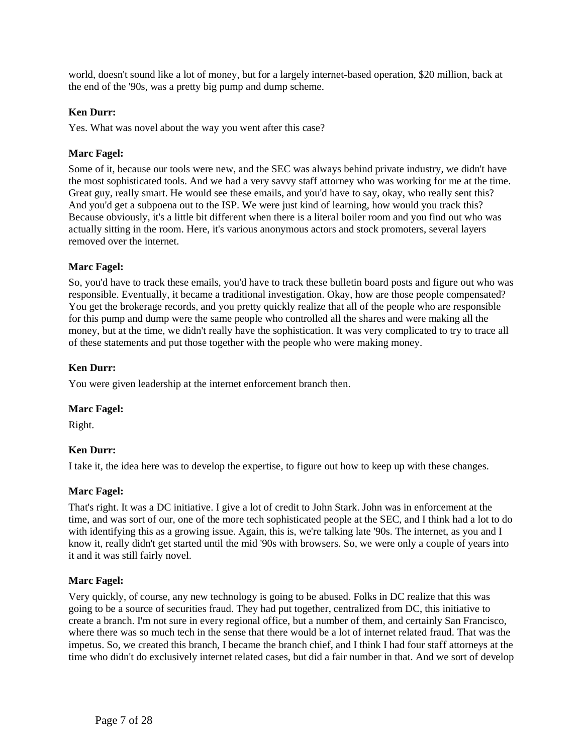world, doesn't sound like a lot of money, but for a largely internet-based operation, \$20 million, back at the end of the '90s, was a pretty big pump and dump scheme.

## **Ken Durr:**

Yes. What was novel about the way you went after this case?

## **Marc Fagel:**

Some of it, because our tools were new, and the SEC was always behind private industry, we didn't have the most sophisticated tools. And we had a very savvy staff attorney who was working for me at the time. Great guy, really smart. He would see these emails, and you'd have to say, okay, who really sent this? And you'd get a subpoena out to the ISP. We were just kind of learning, how would you track this? Because obviously, it's a little bit different when there is a literal boiler room and you find out who was actually sitting in the room. Here, it's various anonymous actors and stock promoters, several layers removed over the internet.

## **Marc Fagel:**

So, you'd have to track these emails, you'd have to track these bulletin board posts and figure out who was responsible. Eventually, it became a traditional investigation. Okay, how are those people compensated? You get the brokerage records, and you pretty quickly realize that all of the people who are responsible for this pump and dump were the same people who controlled all the shares and were making all the money, but at the time, we didn't really have the sophistication. It was very complicated to try to trace all of these statements and put those together with the people who were making money.

## **Ken Durr:**

You were given leadership at the internet enforcement branch then.

### **Marc Fagel:**

Right.

### **Ken Durr:**

I take it, the idea here was to develop the expertise, to figure out how to keep up with these changes.

### **Marc Fagel:**

That's right. It was a DC initiative. I give a lot of credit to John Stark. John was in enforcement at the time, and was sort of our, one of the more tech sophisticated people at the SEC, and I think had a lot to do with identifying this as a growing issue. Again, this is, we're talking late '90s. The internet, as you and I know it, really didn't get started until the mid '90s with browsers. So, we were only a couple of years into it and it was still fairly novel.

### **Marc Fagel:**

Very quickly, of course, any new technology is going to be abused. Folks in DC realize that this was going to be a source of securities fraud. They had put together, centralized from DC, this initiative to create a branch. I'm not sure in every regional office, but a number of them, and certainly San Francisco, where there was so much tech in the sense that there would be a lot of internet related fraud. That was the impetus. So, we created this branch, I became the branch chief, and I think I had four staff attorneys at the time who didn't do exclusively internet related cases, but did a fair number in that. And we sort of develop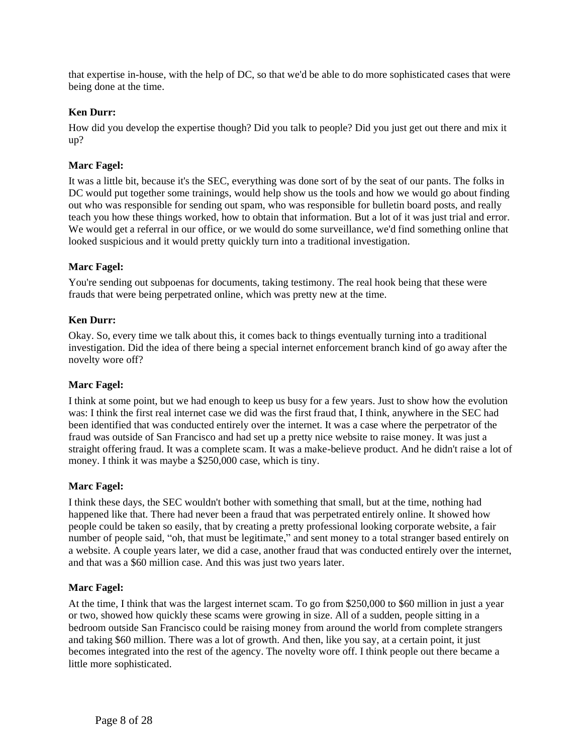that expertise in-house, with the help of DC, so that we'd be able to do more sophisticated cases that were being done at the time.

## **Ken Durr:**

How did you develop the expertise though? Did you talk to people? Did you just get out there and mix it up?

## **Marc Fagel:**

It was a little bit, because it's the SEC, everything was done sort of by the seat of our pants. The folks in DC would put together some trainings, would help show us the tools and how we would go about finding out who was responsible for sending out spam, who was responsible for bulletin board posts, and really teach you how these things worked, how to obtain that information. But a lot of it was just trial and error. We would get a referral in our office, or we would do some surveillance, we'd find something online that looked suspicious and it would pretty quickly turn into a traditional investigation.

## **Marc Fagel:**

You're sending out subpoenas for documents, taking testimony. The real hook being that these were frauds that were being perpetrated online, which was pretty new at the time.

## **Ken Durr:**

Okay. So, every time we talk about this, it comes back to things eventually turning into a traditional investigation. Did the idea of there being a special internet enforcement branch kind of go away after the novelty wore off?

### **Marc Fagel:**

I think at some point, but we had enough to keep us busy for a few years. Just to show how the evolution was: I think the first real internet case we did was the first fraud that, I think, anywhere in the SEC had been identified that was conducted entirely over the internet. It was a case where the perpetrator of the fraud was outside of San Francisco and had set up a pretty nice website to raise money. It was just a straight offering fraud. It was a complete scam. It was a make-believe product. And he didn't raise a lot of money. I think it was maybe a \$250,000 case, which is tiny.

### **Marc Fagel:**

I think these days, the SEC wouldn't bother with something that small, but at the time, nothing had happened like that. There had never been a fraud that was perpetrated entirely online. It showed how people could be taken so easily, that by creating a pretty professional looking corporate website, a fair number of people said, "oh, that must be legitimate," and sent money to a total stranger based entirely on a website. A couple years later, we did a case, another fraud that was conducted entirely over the internet, and that was a \$60 million case. And this was just two years later.

### **Marc Fagel:**

At the time, I think that was the largest internet scam. To go from \$250,000 to \$60 million in just a year or two, showed how quickly these scams were growing in size. All of a sudden, people sitting in a bedroom outside San Francisco could be raising money from around the world from complete strangers and taking \$60 million. There was a lot of growth. And then, like you say, at a certain point, it just becomes integrated into the rest of the agency. The novelty wore off. I think people out there became a little more sophisticated.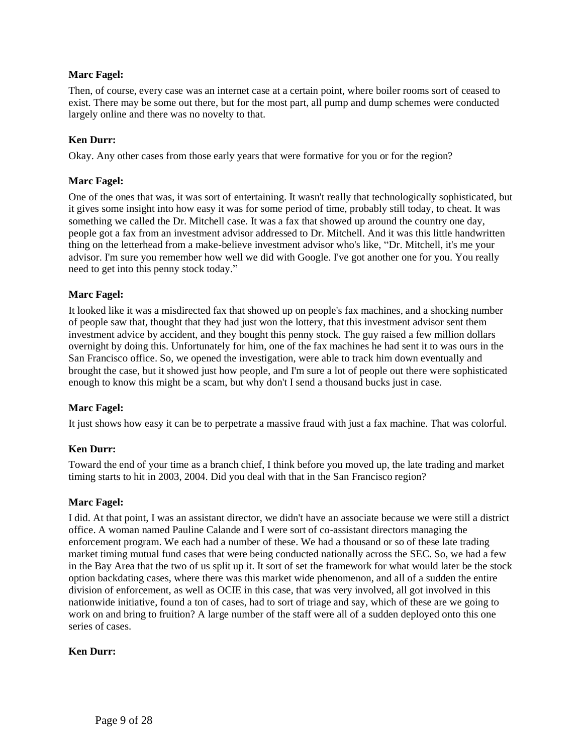## **Marc Fagel:**

Then, of course, every case was an internet case at a certain point, where boiler rooms sort of ceased to exist. There may be some out there, but for the most part, all pump and dump schemes were conducted largely online and there was no novelty to that.

## **Ken Durr:**

Okay. Any other cases from those early years that were formative for you or for the region?

## **Marc Fagel:**

One of the ones that was, it was sort of entertaining. It wasn't really that technologically sophisticated, but it gives some insight into how easy it was for some period of time, probably still today, to cheat. It was something we called the Dr. Mitchell case. It was a fax that showed up around the country one day, people got a fax from an investment advisor addressed to Dr. Mitchell. And it was this little handwritten thing on the letterhead from a make-believe investment advisor who's like, "Dr. Mitchell, it's me your advisor. I'm sure you remember how well we did with Google. I've got another one for you. You really need to get into this penny stock today."

### **Marc Fagel:**

It looked like it was a misdirected fax that showed up on people's fax machines, and a shocking number of people saw that, thought that they had just won the lottery, that this investment advisor sent them investment advice by accident, and they bought this penny stock. The guy raised a few million dollars overnight by doing this. Unfortunately for him, one of the fax machines he had sent it to was ours in the San Francisco office. So, we opened the investigation, were able to track him down eventually and brought the case, but it showed just how people, and I'm sure a lot of people out there were sophisticated enough to know this might be a scam, but why don't I send a thousand bucks just in case.

# **Marc Fagel:**

It just shows how easy it can be to perpetrate a massive fraud with just a fax machine. That was colorful.

### **Ken Durr:**

Toward the end of your time as a branch chief, I think before you moved up, the late trading and market timing starts to hit in 2003, 2004. Did you deal with that in the San Francisco region?

### **Marc Fagel:**

I did. At that point, I was an assistant director, we didn't have an associate because we were still a district office. A woman named Pauline Calande and I were sort of co-assistant directors managing the enforcement program. We each had a number of these. We had a thousand or so of these late trading market timing mutual fund cases that were being conducted nationally across the SEC. So, we had a few in the Bay Area that the two of us split up it. It sort of set the framework for what would later be the stock option backdating cases, where there was this market wide phenomenon, and all of a sudden the entire division of enforcement, as well as OCIE in this case, that was very involved, all got involved in this nationwide initiative, found a ton of cases, had to sort of triage and say, which of these are we going to work on and bring to fruition? A large number of the staff were all of a sudden deployed onto this one series of cases.

### **Ken Durr:**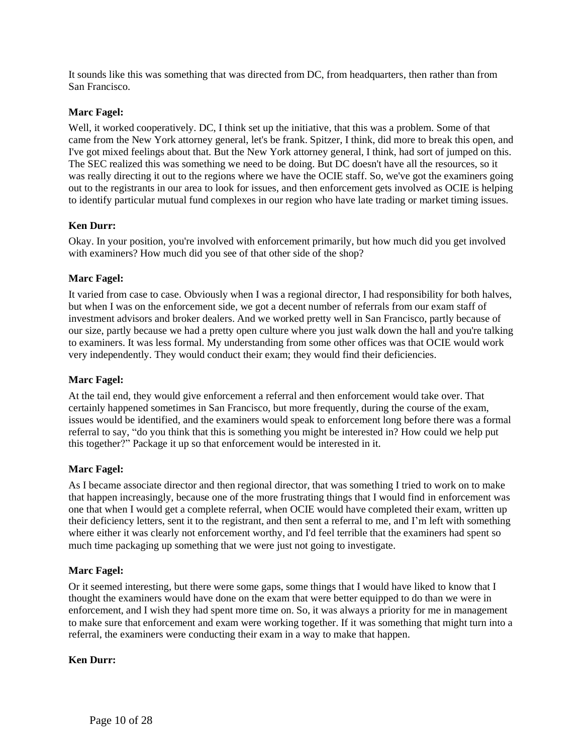It sounds like this was something that was directed from DC, from headquarters, then rather than from San Francisco.

## **Marc Fagel:**

Well, it worked cooperatively. DC, I think set up the initiative, that this was a problem. Some of that came from the New York attorney general, let's be frank. Spitzer, I think, did more to break this open, and I've got mixed feelings about that. But the New York attorney general, I think, had sort of jumped on this. The SEC realized this was something we need to be doing. But DC doesn't have all the resources, so it was really directing it out to the regions where we have the OCIE staff. So, we've got the examiners going out to the registrants in our area to look for issues, and then enforcement gets involved as OCIE is helping to identify particular mutual fund complexes in our region who have late trading or market timing issues.

## **Ken Durr:**

Okay. In your position, you're involved with enforcement primarily, but how much did you get involved with examiners? How much did you see of that other side of the shop?

### **Marc Fagel:**

It varied from case to case. Obviously when I was a regional director, I had responsibility for both halves, but when I was on the enforcement side, we got a decent number of referrals from our exam staff of investment advisors and broker dealers. And we worked pretty well in San Francisco, partly because of our size, partly because we had a pretty open culture where you just walk down the hall and you're talking to examiners. It was less formal. My understanding from some other offices was that OCIE would work very independently. They would conduct their exam; they would find their deficiencies.

## **Marc Fagel:**

At the tail end, they would give enforcement a referral and then enforcement would take over. That certainly happened sometimes in San Francisco, but more frequently, during the course of the exam, issues would be identified, and the examiners would speak to enforcement long before there was a formal referral to say, "do you think that this is something you might be interested in? How could we help put this together?" Package it up so that enforcement would be interested in it.

### **Marc Fagel:**

As I became associate director and then regional director, that was something I tried to work on to make that happen increasingly, because one of the more frustrating things that I would find in enforcement was one that when I would get a complete referral, when OCIE would have completed their exam, written up their deficiency letters, sent it to the registrant, and then sent a referral to me, and I'm left with something where either it was clearly not enforcement worthy, and I'd feel terrible that the examiners had spent so much time packaging up something that we were just not going to investigate.

### **Marc Fagel:**

Or it seemed interesting, but there were some gaps, some things that I would have liked to know that I thought the examiners would have done on the exam that were better equipped to do than we were in enforcement, and I wish they had spent more time on. So, it was always a priority for me in management to make sure that enforcement and exam were working together. If it was something that might turn into a referral, the examiners were conducting their exam in a way to make that happen.

### **Ken Durr:**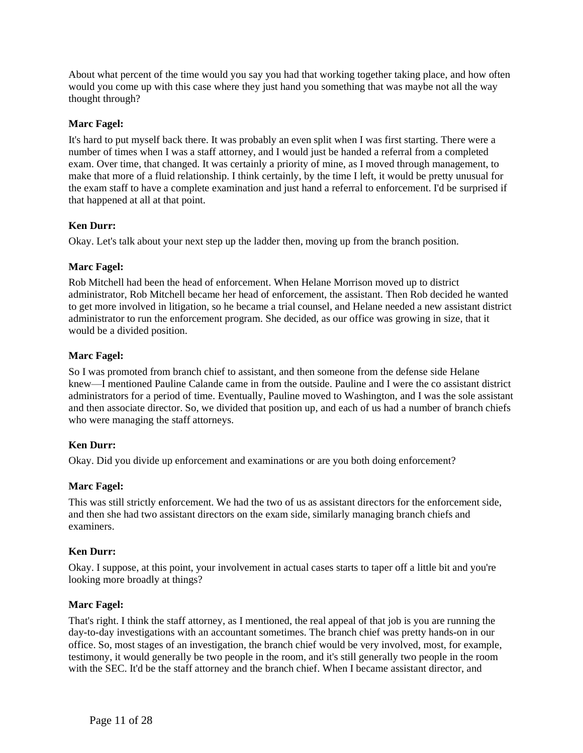About what percent of the time would you say you had that working together taking place, and how often would you come up with this case where they just hand you something that was maybe not all the way thought through?

## **Marc Fagel:**

It's hard to put myself back there. It was probably an even split when I was first starting. There were a number of times when I was a staff attorney, and I would just be handed a referral from a completed exam. Over time, that changed. It was certainly a priority of mine, as I moved through management, to make that more of a fluid relationship. I think certainly, by the time I left, it would be pretty unusual for the exam staff to have a complete examination and just hand a referral to enforcement. I'd be surprised if that happened at all at that point.

# **Ken Durr:**

Okay. Let's talk about your next step up the ladder then, moving up from the branch position.

## **Marc Fagel:**

Rob Mitchell had been the head of enforcement. When Helane Morrison moved up to district administrator, Rob Mitchell became her head of enforcement, the assistant. Then Rob decided he wanted to get more involved in litigation, so he became a trial counsel, and Helane needed a new assistant district administrator to run the enforcement program. She decided, as our office was growing in size, that it would be a divided position.

## **Marc Fagel:**

So I was promoted from branch chief to assistant, and then someone from the defense side Helane knew—I mentioned Pauline Calande came in from the outside. Pauline and I were the co assistant district administrators for a period of time. Eventually, Pauline moved to Washington, and I was the sole assistant and then associate director. So, we divided that position up, and each of us had a number of branch chiefs who were managing the staff attorneys.

# **Ken Durr:**

Okay. Did you divide up enforcement and examinations or are you both doing enforcement?

### **Marc Fagel:**

This was still strictly enforcement. We had the two of us as assistant directors for the enforcement side, and then she had two assistant directors on the exam side, similarly managing branch chiefs and examiners.

### **Ken Durr:**

Okay. I suppose, at this point, your involvement in actual cases starts to taper off a little bit and you're looking more broadly at things?

### **Marc Fagel:**

That's right. I think the staff attorney, as I mentioned, the real appeal of that job is you are running the day-to-day investigations with an accountant sometimes. The branch chief was pretty hands-on in our office. So, most stages of an investigation, the branch chief would be very involved, most, for example, testimony, it would generally be two people in the room, and it's still generally two people in the room with the SEC. It'd be the staff attorney and the branch chief. When I became assistant director, and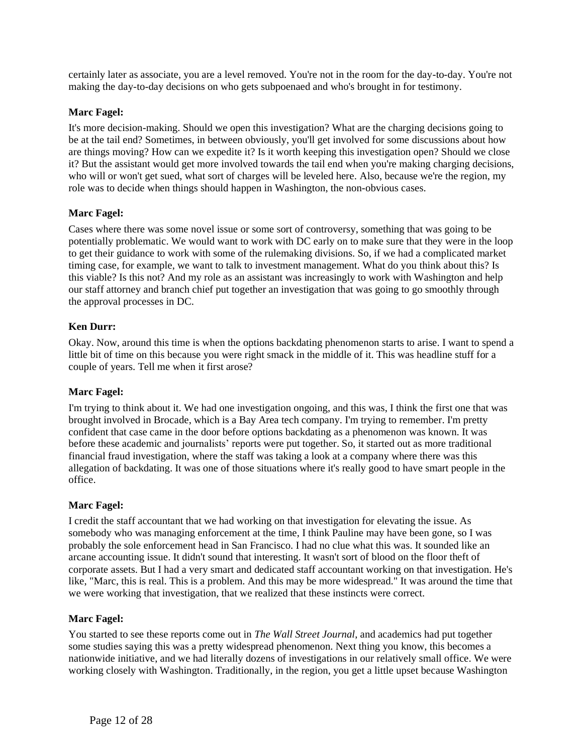certainly later as associate, you are a level removed. You're not in the room for the day-to-day. You're not making the day-to-day decisions on who gets subpoenaed and who's brought in for testimony.

## **Marc Fagel:**

It's more decision-making. Should we open this investigation? What are the charging decisions going to be at the tail end? Sometimes, in between obviously, you'll get involved for some discussions about how are things moving? How can we expedite it? Is it worth keeping this investigation open? Should we close it? But the assistant would get more involved towards the tail end when you're making charging decisions, who will or won't get sued, what sort of charges will be leveled here. Also, because we're the region, my role was to decide when things should happen in Washington, the non-obvious cases.

### **Marc Fagel:**

Cases where there was some novel issue or some sort of controversy, something that was going to be potentially problematic. We would want to work with DC early on to make sure that they were in the loop to get their guidance to work with some of the rulemaking divisions. So, if we had a complicated market timing case, for example, we want to talk to investment management. What do you think about this? Is this viable? Is this not? And my role as an assistant was increasingly to work with Washington and help our staff attorney and branch chief put together an investigation that was going to go smoothly through the approval processes in DC.

## **Ken Durr:**

Okay. Now, around this time is when the options backdating phenomenon starts to arise. I want to spend a little bit of time on this because you were right smack in the middle of it. This was headline stuff for a couple of years. Tell me when it first arose?

### **Marc Fagel:**

I'm trying to think about it. We had one investigation ongoing, and this was, I think the first one that was brought involved in Brocade, which is a Bay Area tech company. I'm trying to remember. I'm pretty confident that case came in the door before options backdating as a phenomenon was known. It was before these academic and journalists' reports were put together. So, it started out as more traditional financial fraud investigation, where the staff was taking a look at a company where there was this allegation of backdating. It was one of those situations where it's really good to have smart people in the office.

### **Marc Fagel:**

I credit the staff accountant that we had working on that investigation for elevating the issue. As somebody who was managing enforcement at the time, I think Pauline may have been gone, so I was probably the sole enforcement head in San Francisco. I had no clue what this was. It sounded like an arcane accounting issue. It didn't sound that interesting. It wasn't sort of blood on the floor theft of corporate assets. But I had a very smart and dedicated staff accountant working on that investigation. He's like, "Marc, this is real. This is a problem. And this may be more widespread." It was around the time that we were working that investigation, that we realized that these instincts were correct.

### **Marc Fagel:**

You started to see these reports come out in *The Wall Street Journal*, and academics had put together some studies saying this was a pretty widespread phenomenon. Next thing you know, this becomes a nationwide initiative, and we had literally dozens of investigations in our relatively small office. We were working closely with Washington. Traditionally, in the region, you get a little upset because Washington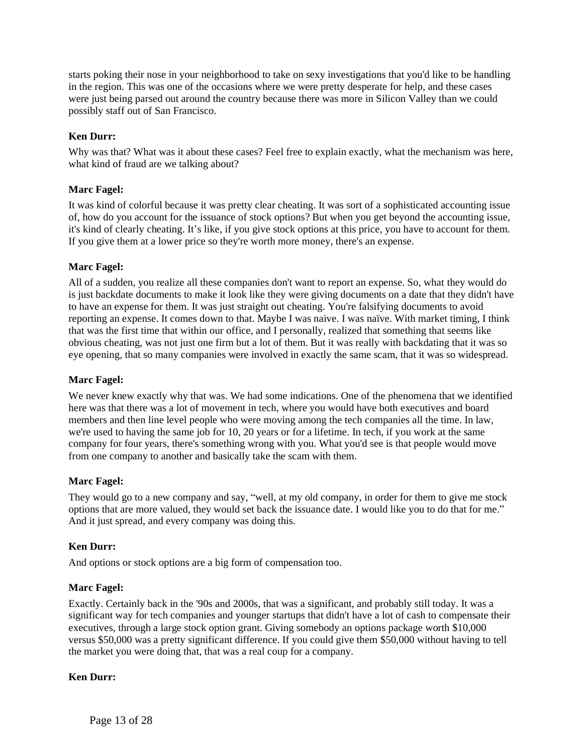starts poking their nose in your neighborhood to take on sexy investigations that you'd like to be handling in the region. This was one of the occasions where we were pretty desperate for help, and these cases were just being parsed out around the country because there was more in Silicon Valley than we could possibly staff out of San Francisco.

## **Ken Durr:**

Why was that? What was it about these cases? Feel free to explain exactly, what the mechanism was here, what kind of fraud are we talking about?

### **Marc Fagel:**

It was kind of colorful because it was pretty clear cheating. It was sort of a sophisticated accounting issue of, how do you account for the issuance of stock options? But when you get beyond the accounting issue, it's kind of clearly cheating. It's like, if you give stock options at this price, you have to account for them. If you give them at a lower price so they're worth more money, there's an expense.

### **Marc Fagel:**

All of a sudden, you realize all these companies don't want to report an expense. So, what they would do is just backdate documents to make it look like they were giving documents on a date that they didn't have to have an expense for them. It was just straight out cheating. You're falsifying documents to avoid reporting an expense. It comes down to that. Maybe I was naive. I was naïve. With market timing, I think that was the first time that within our office, and I personally, realized that something that seems like obvious cheating, was not just one firm but a lot of them. But it was really with backdating that it was so eye opening, that so many companies were involved in exactly the same scam, that it was so widespread.

### **Marc Fagel:**

We never knew exactly why that was. We had some indications. One of the phenomena that we identified here was that there was a lot of movement in tech, where you would have both executives and board members and then line level people who were moving among the tech companies all the time. In law, we're used to having the same job for 10, 20 years or for a lifetime. In tech, if you work at the same company for four years, there's something wrong with you. What you'd see is that people would move from one company to another and basically take the scam with them.

### **Marc Fagel:**

They would go to a new company and say, "well, at my old company, in order for them to give me stock options that are more valued, they would set back the issuance date. I would like you to do that for me." And it just spread, and every company was doing this.

### **Ken Durr:**

And options or stock options are a big form of compensation too.

### **Marc Fagel:**

Exactly. Certainly back in the '90s and 2000s, that was a significant, and probably still today. It was a significant way for tech companies and younger startups that didn't have a lot of cash to compensate their executives, through a large stock option grant. Giving somebody an options package worth \$10,000 versus \$50,000 was a pretty significant difference. If you could give them \$50,000 without having to tell the market you were doing that, that was a real coup for a company.

### **Ken Durr:**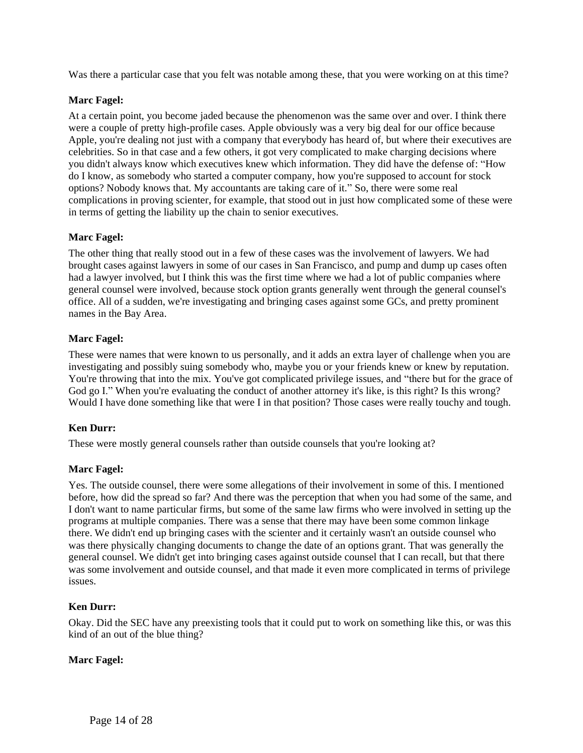Was there a particular case that you felt was notable among these, that you were working on at this time?

### **Marc Fagel:**

At a certain point, you become jaded because the phenomenon was the same over and over. I think there were a couple of pretty high-profile cases. Apple obviously was a very big deal for our office because Apple, you're dealing not just with a company that everybody has heard of, but where their executives are celebrities. So in that case and a few others, it got very complicated to make charging decisions where you didn't always know which executives knew which information. They did have the defense of: "How do I know, as somebody who started a computer company, how you're supposed to account for stock options? Nobody knows that. My accountants are taking care of it." So, there were some real complications in proving scienter, for example, that stood out in just how complicated some of these were in terms of getting the liability up the chain to senior executives.

### **Marc Fagel:**

The other thing that really stood out in a few of these cases was the involvement of lawyers. We had brought cases against lawyers in some of our cases in San Francisco, and pump and dump up cases often had a lawyer involved, but I think this was the first time where we had a lot of public companies where general counsel were involved, because stock option grants generally went through the general counsel's office. All of a sudden, we're investigating and bringing cases against some GCs, and pretty prominent names in the Bay Area.

#### **Marc Fagel:**

These were names that were known to us personally, and it adds an extra layer of challenge when you are investigating and possibly suing somebody who, maybe you or your friends knew or knew by reputation. You're throwing that into the mix. You've got complicated privilege issues, and "there but for the grace of God go I." When you're evaluating the conduct of another attorney it's like, is this right? Is this wrong? Would I have done something like that were I in that position? Those cases were really touchy and tough.

### **Ken Durr:**

These were mostly general counsels rather than outside counsels that you're looking at?

#### **Marc Fagel:**

Yes. The outside counsel, there were some allegations of their involvement in some of this. I mentioned before, how did the spread so far? And there was the perception that when you had some of the same, and I don't want to name particular firms, but some of the same law firms who were involved in setting up the programs at multiple companies. There was a sense that there may have been some common linkage there. We didn't end up bringing cases with the scienter and it certainly wasn't an outside counsel who was there physically changing documents to change the date of an options grant. That was generally the general counsel. We didn't get into bringing cases against outside counsel that I can recall, but that there was some involvement and outside counsel, and that made it even more complicated in terms of privilege issues.

#### **Ken Durr:**

Okay. Did the SEC have any preexisting tools that it could put to work on something like this, or was this kind of an out of the blue thing?

#### **Marc Fagel:**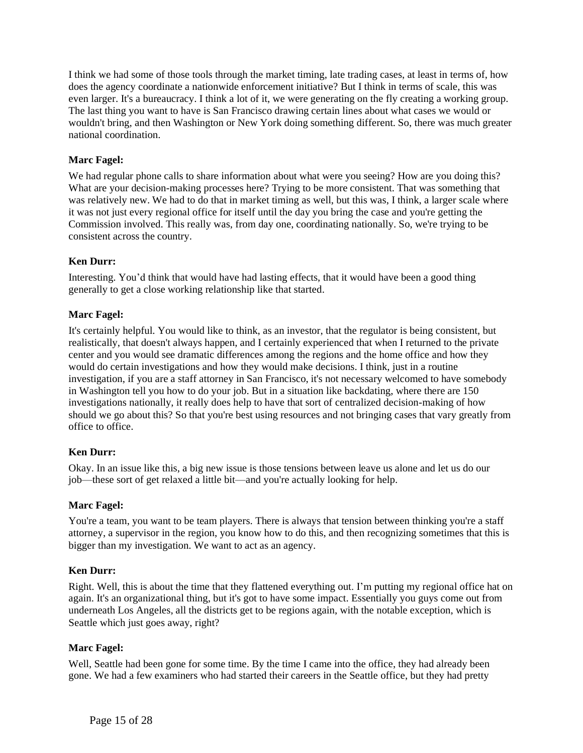I think we had some of those tools through the market timing, late trading cases, at least in terms of, how does the agency coordinate a nationwide enforcement initiative? But I think in terms of scale, this was even larger. It's a bureaucracy. I think a lot of it, we were generating on the fly creating a working group. The last thing you want to have is San Francisco drawing certain lines about what cases we would or wouldn't bring, and then Washington or New York doing something different. So, there was much greater national coordination.

# **Marc Fagel:**

We had regular phone calls to share information about what were you seeing? How are you doing this? What are your decision-making processes here? Trying to be more consistent. That was something that was relatively new. We had to do that in market timing as well, but this was, I think, a larger scale where it was not just every regional office for itself until the day you bring the case and you're getting the Commission involved. This really was, from day one, coordinating nationally. So, we're trying to be consistent across the country.

# **Ken Durr:**

Interesting. You'd think that would have had lasting effects, that it would have been a good thing generally to get a close working relationship like that started.

### **Marc Fagel:**

It's certainly helpful. You would like to think, as an investor, that the regulator is being consistent, but realistically, that doesn't always happen, and I certainly experienced that when I returned to the private center and you would see dramatic differences among the regions and the home office and how they would do certain investigations and how they would make decisions. I think, just in a routine investigation, if you are a staff attorney in San Francisco, it's not necessary welcomed to have somebody in Washington tell you how to do your job. But in a situation like backdating, where there are 150 investigations nationally, it really does help to have that sort of centralized decision-making of how should we go about this? So that you're best using resources and not bringing cases that vary greatly from office to office.

# **Ken Durr:**

Okay. In an issue like this, a big new issue is those tensions between leave us alone and let us do our job—these sort of get relaxed a little bit—and you're actually looking for help.

### **Marc Fagel:**

You're a team, you want to be team players. There is always that tension between thinking you're a staff attorney, a supervisor in the region, you know how to do this, and then recognizing sometimes that this is bigger than my investigation. We want to act as an agency.

### **Ken Durr:**

Right. Well, this is about the time that they flattened everything out. I'm putting my regional office hat on again. It's an organizational thing, but it's got to have some impact. Essentially you guys come out from underneath Los Angeles, all the districts get to be regions again, with the notable exception, which is Seattle which just goes away, right?

### **Marc Fagel:**

Well, Seattle had been gone for some time. By the time I came into the office, they had already been gone. We had a few examiners who had started their careers in the Seattle office, but they had pretty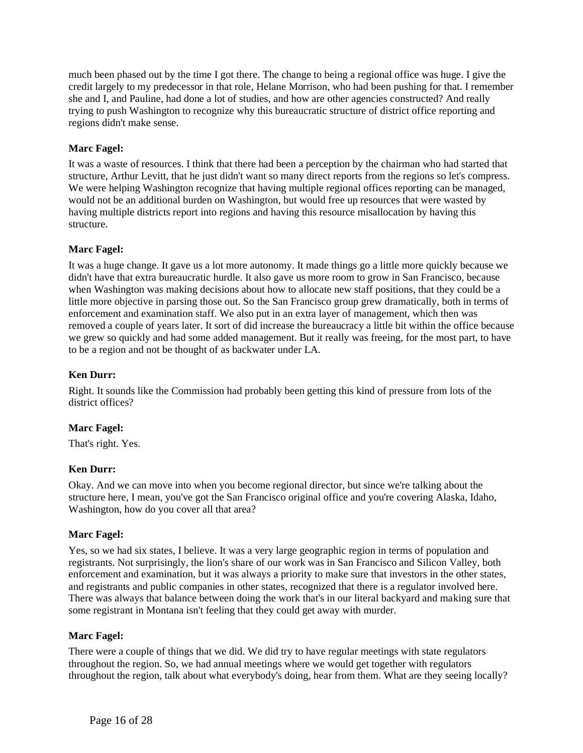much been phased out by the time I got there. The change to being a regional office was huge. I give the credit largely to my predecessor in that role, Helane Morrison, who had been pushing for that. I remember she and I, and Pauline, had done a lot of studies, and how are other agencies constructed? And really trying to push Washington to recognize why this bureaucratic structure of district office reporting and regions didn't make sense.

## **Marc Fagel:**

It was a waste of resources. I think that there had been a perception by the chairman who had started that structure, Arthur Levitt, that he just didn't want so many direct reports from the regions so let's compress. We were helping Washington recognize that having multiple regional offices reporting can be managed, would not be an additional burden on Washington, but would free up resources that were wasted by having multiple districts report into regions and having this resource misallocation by having this structure.

## **Marc Fagel:**

It was a huge change. It gave us a lot more autonomy. It made things go a little more quickly because we didn't have that extra bureaucratic hurdle. It also gave us more room to grow in San Francisco, because when Washington was making decisions about how to allocate new staff positions, that they could be a little more objective in parsing those out. So the San Francisco group grew dramatically, both in terms of enforcement and examination staff. We also put in an extra layer of management, which then was removed a couple of years later. It sort of did increase the bureaucracy a little bit within the office because we grew so quickly and had some added management. But it really was freeing, for the most part, to have to be a region and not be thought of as backwater under LA.

## **Ken Durr:**

Right. It sounds like the Commission had probably been getting this kind of pressure from lots of the district offices?

### **Marc Fagel:**

That's right. Yes.

### **Ken Durr:**

Okay. And we can move into when you become regional director, but since we're talking about the structure here, I mean, you've got the San Francisco original office and you're covering Alaska, Idaho, Washington, how do you cover all that area?

### **Marc Fagel:**

Yes, so we had six states, I believe. It was a very large geographic region in terms of population and registrants. Not surprisingly, the lion's share of our work was in San Francisco and Silicon Valley, both enforcement and examination, but it was always a priority to make sure that investors in the other states, and registrants and public companies in other states, recognized that there is a regulator involved here. There was always that balance between doing the work that's in our literal backyard and making sure that some registrant in Montana isn't feeling that they could get away with murder.

### **Marc Fagel:**

There were a couple of things that we did. We did try to have regular meetings with state regulators throughout the region. So, we had annual meetings where we would get together with regulators throughout the region, talk about what everybody's doing, hear from them. What are they seeing locally?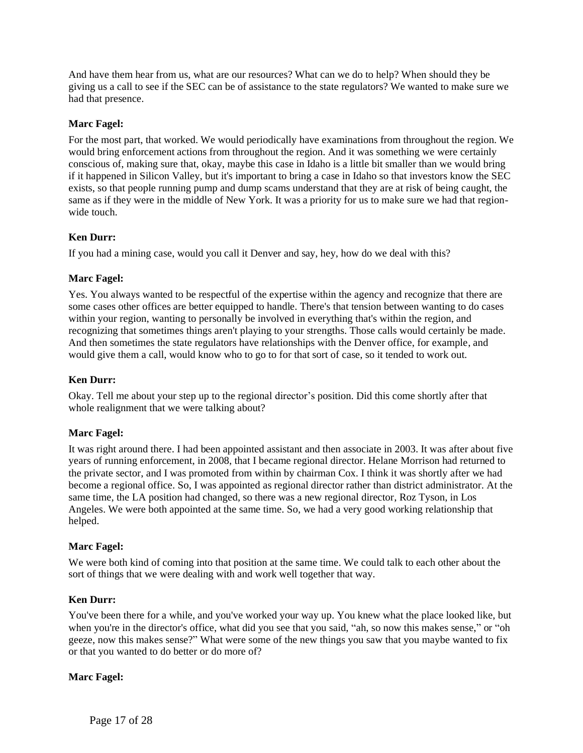And have them hear from us, what are our resources? What can we do to help? When should they be giving us a call to see if the SEC can be of assistance to the state regulators? We wanted to make sure we had that presence.

## **Marc Fagel:**

For the most part, that worked. We would periodically have examinations from throughout the region. We would bring enforcement actions from throughout the region. And it was something we were certainly conscious of, making sure that, okay, maybe this case in Idaho is a little bit smaller than we would bring if it happened in Silicon Valley, but it's important to bring a case in Idaho so that investors know the SEC exists, so that people running pump and dump scams understand that they are at risk of being caught, the same as if they were in the middle of New York. It was a priority for us to make sure we had that regionwide touch.

## **Ken Durr:**

If you had a mining case, would you call it Denver and say, hey, how do we deal with this?

## **Marc Fagel:**

Yes. You always wanted to be respectful of the expertise within the agency and recognize that there are some cases other offices are better equipped to handle. There's that tension between wanting to do cases within your region, wanting to personally be involved in everything that's within the region, and recognizing that sometimes things aren't playing to your strengths. Those calls would certainly be made. And then sometimes the state regulators have relationships with the Denver office, for example, and would give them a call, would know who to go to for that sort of case, so it tended to work out.

### **Ken Durr:**

Okay. Tell me about your step up to the regional director's position. Did this come shortly after that whole realignment that we were talking about?

### **Marc Fagel:**

It was right around there. I had been appointed assistant and then associate in 2003. It was after about five years of running enforcement, in 2008, that I became regional director. Helane Morrison had returned to the private sector, and I was promoted from within by chairman Cox. I think it was shortly after we had become a regional office. So, I was appointed as regional director rather than district administrator. At the same time, the LA position had changed, so there was a new regional director, Roz Tyson, in Los Angeles. We were both appointed at the same time. So, we had a very good working relationship that helped.

### **Marc Fagel:**

We were both kind of coming into that position at the same time. We could talk to each other about the sort of things that we were dealing with and work well together that way.

### **Ken Durr:**

You've been there for a while, and you've worked your way up. You knew what the place looked like, but when you're in the director's office, what did you see that you said, "ah, so now this makes sense," or "oh geeze, now this makes sense?" What were some of the new things you saw that you maybe wanted to fix or that you wanted to do better or do more of?

### **Marc Fagel:**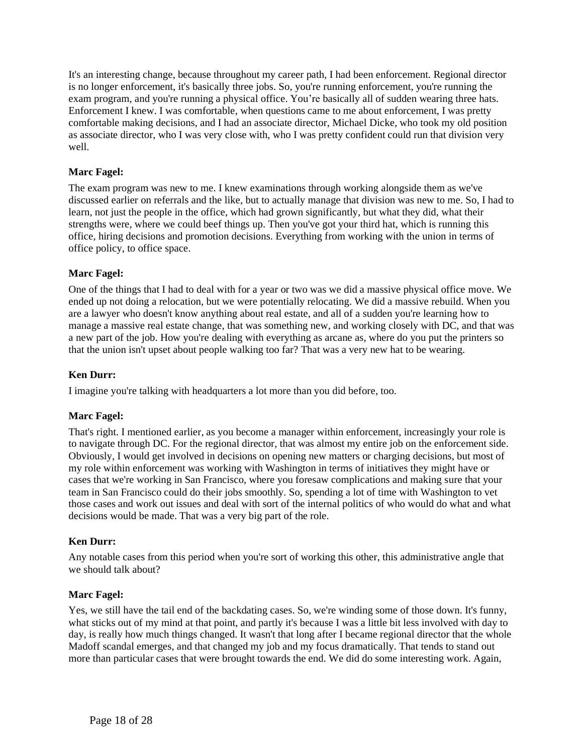It's an interesting change, because throughout my career path, I had been enforcement. Regional director is no longer enforcement, it's basically three jobs. So, you're running enforcement, you're running the exam program, and you're running a physical office. You're basically all of sudden wearing three hats. Enforcement I knew. I was comfortable, when questions came to me about enforcement, I was pretty comfortable making decisions, and I had an associate director, Michael Dicke, who took my old position as associate director, who I was very close with, who I was pretty confident could run that division very well.

## **Marc Fagel:**

The exam program was new to me. I knew examinations through working alongside them as we've discussed earlier on referrals and the like, but to actually manage that division was new to me. So, I had to learn, not just the people in the office, which had grown significantly, but what they did, what their strengths were, where we could beef things up. Then you've got your third hat, which is running this office, hiring decisions and promotion decisions. Everything from working with the union in terms of office policy, to office space.

### **Marc Fagel:**

One of the things that I had to deal with for a year or two was we did a massive physical office move. We ended up not doing a relocation, but we were potentially relocating. We did a massive rebuild. When you are a lawyer who doesn't know anything about real estate, and all of a sudden you're learning how to manage a massive real estate change, that was something new, and working closely with DC, and that was a new part of the job. How you're dealing with everything as arcane as, where do you put the printers so that the union isn't upset about people walking too far? That was a very new hat to be wearing.

## **Ken Durr:**

I imagine you're talking with headquarters a lot more than you did before, too.

### **Marc Fagel:**

That's right. I mentioned earlier, as you become a manager within enforcement, increasingly your role is to navigate through DC. For the regional director, that was almost my entire job on the enforcement side. Obviously, I would get involved in decisions on opening new matters or charging decisions, but most of my role within enforcement was working with Washington in terms of initiatives they might have or cases that we're working in San Francisco, where you foresaw complications and making sure that your team in San Francisco could do their jobs smoothly. So, spending a lot of time with Washington to vet those cases and work out issues and deal with sort of the internal politics of who would do what and what decisions would be made. That was a very big part of the role.

### **Ken Durr:**

Any notable cases from this period when you're sort of working this other, this administrative angle that we should talk about?

### **Marc Fagel:**

Yes, we still have the tail end of the backdating cases. So, we're winding some of those down. It's funny, what sticks out of my mind at that point, and partly it's because I was a little bit less involved with day to day, is really how much things changed. It wasn't that long after I became regional director that the whole Madoff scandal emerges, and that changed my job and my focus dramatically. That tends to stand out more than particular cases that were brought towards the end. We did do some interesting work. Again,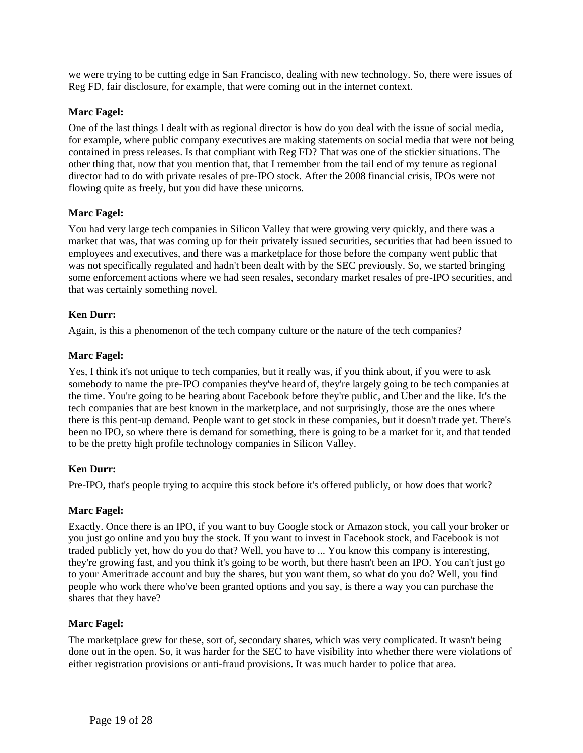we were trying to be cutting edge in San Francisco, dealing with new technology. So, there were issues of Reg FD, fair disclosure, for example, that were coming out in the internet context.

## **Marc Fagel:**

One of the last things I dealt with as regional director is how do you deal with the issue of social media, for example, where public company executives are making statements on social media that were not being contained in press releases. Is that compliant with Reg FD? That was one of the stickier situations. The other thing that, now that you mention that, that I remember from the tail end of my tenure as regional director had to do with private resales of pre-IPO stock. After the 2008 financial crisis, IPOs were not flowing quite as freely, but you did have these unicorns.

## **Marc Fagel:**

You had very large tech companies in Silicon Valley that were growing very quickly, and there was a market that was, that was coming up for their privately issued securities, securities that had been issued to employees and executives, and there was a marketplace for those before the company went public that was not specifically regulated and hadn't been dealt with by the SEC previously. So, we started bringing some enforcement actions where we had seen resales, secondary market resales of pre-IPO securities, and that was certainly something novel.

## **Ken Durr:**

Again, is this a phenomenon of the tech company culture or the nature of the tech companies?

## **Marc Fagel:**

Yes, I think it's not unique to tech companies, but it really was, if you think about, if you were to ask somebody to name the pre-IPO companies they've heard of, they're largely going to be tech companies at the time. You're going to be hearing about Facebook before they're public, and Uber and the like. It's the tech companies that are best known in the marketplace, and not surprisingly, those are the ones where there is this pent-up demand. People want to get stock in these companies, but it doesn't trade yet. There's been no IPO, so where there is demand for something, there is going to be a market for it, and that tended to be the pretty high profile technology companies in Silicon Valley.

### **Ken Durr:**

Pre-IPO, that's people trying to acquire this stock before it's offered publicly, or how does that work?

### **Marc Fagel:**

Exactly. Once there is an IPO, if you want to buy Google stock or Amazon stock, you call your broker or you just go online and you buy the stock. If you want to invest in Facebook stock, and Facebook is not traded publicly yet, how do you do that? Well, you have to ... You know this company is interesting, they're growing fast, and you think it's going to be worth, but there hasn't been an IPO. You can't just go to your Ameritrade account and buy the shares, but you want them, so what do you do? Well, you find people who work there who've been granted options and you say, is there a way you can purchase the shares that they have?

### **Marc Fagel:**

The marketplace grew for these, sort of, secondary shares, which was very complicated. It wasn't being done out in the open. So, it was harder for the SEC to have visibility into whether there were violations of either registration provisions or anti-fraud provisions. It was much harder to police that area.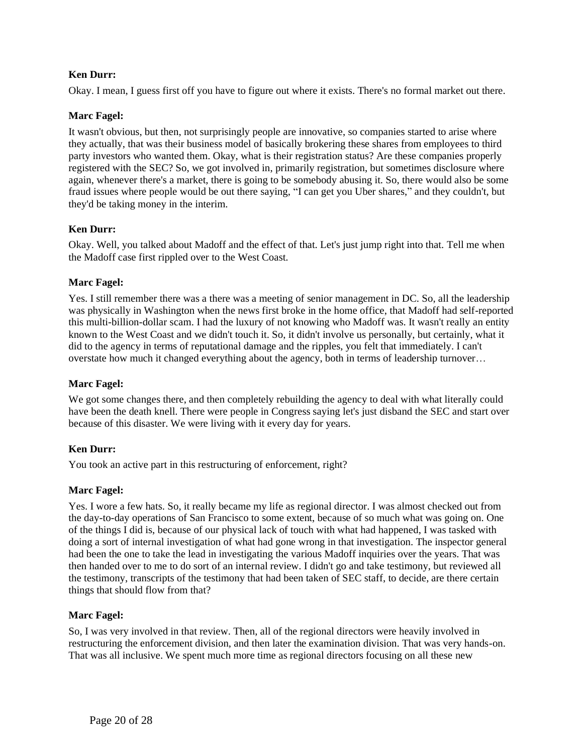## **Ken Durr:**

Okay. I mean, I guess first off you have to figure out where it exists. There's no formal market out there.

## **Marc Fagel:**

It wasn't obvious, but then, not surprisingly people are innovative, so companies started to arise where they actually, that was their business model of basically brokering these shares from employees to third party investors who wanted them. Okay, what is their registration status? Are these companies properly registered with the SEC? So, we got involved in, primarily registration, but sometimes disclosure where again, whenever there's a market, there is going to be somebody abusing it. So, there would also be some fraud issues where people would be out there saying, "I can get you Uber shares," and they couldn't, but they'd be taking money in the interim.

## **Ken Durr:**

Okay. Well, you talked about Madoff and the effect of that. Let's just jump right into that. Tell me when the Madoff case first rippled over to the West Coast.

## **Marc Fagel:**

Yes. I still remember there was a there was a meeting of senior management in DC. So, all the leadership was physically in Washington when the news first broke in the home office, that Madoff had self-reported this multi-billion-dollar scam. I had the luxury of not knowing who Madoff was. It wasn't really an entity known to the West Coast and we didn't touch it. So, it didn't involve us personally, but certainly, what it did to the agency in terms of reputational damage and the ripples, you felt that immediately. I can't overstate how much it changed everything about the agency, both in terms of leadership turnover…

### **Marc Fagel:**

We got some changes there, and then completely rebuilding the agency to deal with what literally could have been the death knell. There were people in Congress saying let's just disband the SEC and start over because of this disaster. We were living with it every day for years.

### **Ken Durr:**

You took an active part in this restructuring of enforcement, right?

### **Marc Fagel:**

Yes. I wore a few hats. So, it really became my life as regional director. I was almost checked out from the day-to-day operations of San Francisco to some extent, because of so much what was going on. One of the things I did is, because of our physical lack of touch with what had happened, I was tasked with doing a sort of internal investigation of what had gone wrong in that investigation. The inspector general had been the one to take the lead in investigating the various Madoff inquiries over the years. That was then handed over to me to do sort of an internal review. I didn't go and take testimony, but reviewed all the testimony, transcripts of the testimony that had been taken of SEC staff, to decide, are there certain things that should flow from that?

### **Marc Fagel:**

So, I was very involved in that review. Then, all of the regional directors were heavily involved in restructuring the enforcement division, and then later the examination division. That was very hands-on. That was all inclusive. We spent much more time as regional directors focusing on all these new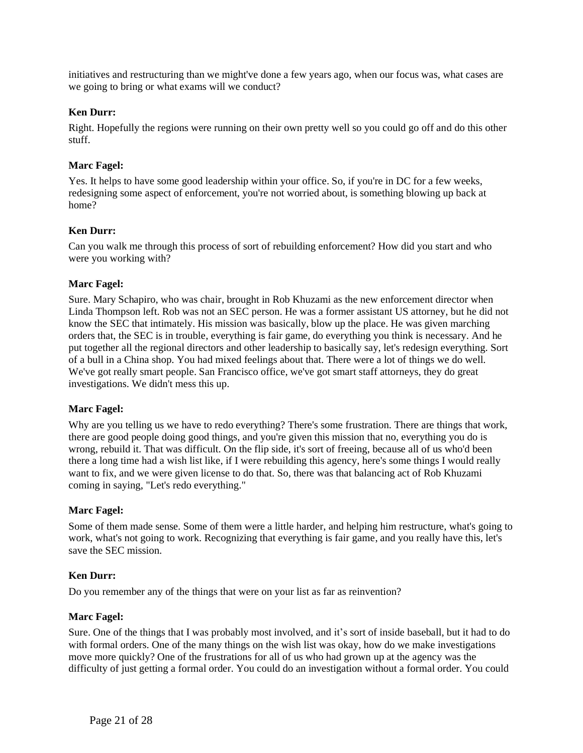initiatives and restructuring than we might've done a few years ago, when our focus was, what cases are we going to bring or what exams will we conduct?

### **Ken Durr:**

Right. Hopefully the regions were running on their own pretty well so you could go off and do this other stuff.

### **Marc Fagel:**

Yes. It helps to have some good leadership within your office. So, if you're in DC for a few weeks, redesigning some aspect of enforcement, you're not worried about, is something blowing up back at home?

#### **Ken Durr:**

Can you walk me through this process of sort of rebuilding enforcement? How did you start and who were you working with?

#### **Marc Fagel:**

Sure. Mary Schapiro, who was chair, brought in Rob Khuzami as the new enforcement director when Linda Thompson left. Rob was not an SEC person. He was a former assistant US attorney, but he did not know the SEC that intimately. His mission was basically, blow up the place. He was given marching orders that, the SEC is in trouble, everything is fair game, do everything you think is necessary. And he put together all the regional directors and other leadership to basically say, let's redesign everything. Sort of a bull in a China shop. You had mixed feelings about that. There were a lot of things we do well. We've got really smart people. San Francisco office, we've got smart staff attorneys, they do great investigations. We didn't mess this up.

#### **Marc Fagel:**

Why are you telling us we have to redo everything? There's some frustration. There are things that work, there are good people doing good things, and you're given this mission that no, everything you do is wrong, rebuild it. That was difficult. On the flip side, it's sort of freeing, because all of us who'd been there a long time had a wish list like, if I were rebuilding this agency, here's some things I would really want to fix, and we were given license to do that. So, there was that balancing act of Rob Khuzami coming in saying, "Let's redo everything."

#### **Marc Fagel:**

Some of them made sense. Some of them were a little harder, and helping him restructure, what's going to work, what's not going to work. Recognizing that everything is fair game, and you really have this, let's save the SEC mission.

#### **Ken Durr:**

Do you remember any of the things that were on your list as far as reinvention?

### **Marc Fagel:**

Sure. One of the things that I was probably most involved, and it's sort of inside baseball, but it had to do with formal orders. One of the many things on the wish list was okay, how do we make investigations move more quickly? One of the frustrations for all of us who had grown up at the agency was the difficulty of just getting a formal order. You could do an investigation without a formal order. You could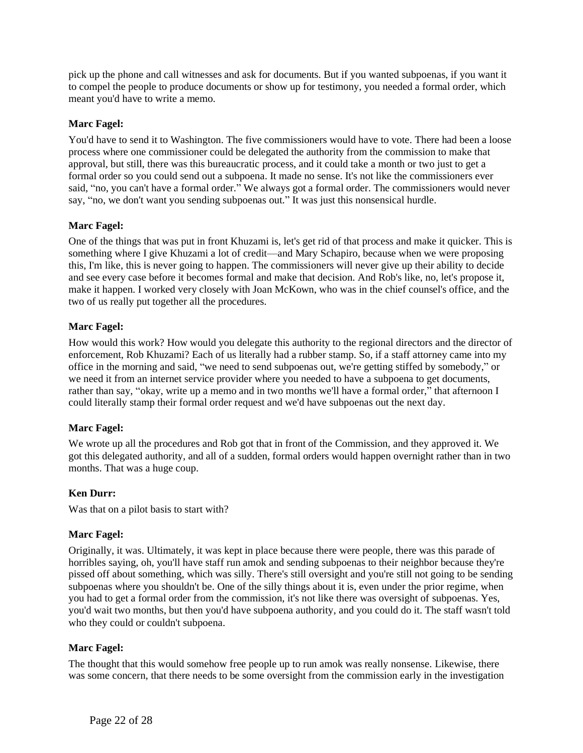pick up the phone and call witnesses and ask for documents. But if you wanted subpoenas, if you want it to compel the people to produce documents or show up for testimony, you needed a formal order, which meant you'd have to write a memo.

## **Marc Fagel:**

You'd have to send it to Washington. The five commissioners would have to vote. There had been a loose process where one commissioner could be delegated the authority from the commission to make that approval, but still, there was this bureaucratic process, and it could take a month or two just to get a formal order so you could send out a subpoena. It made no sense. It's not like the commissioners ever said, "no, you can't have a formal order." We always got a formal order. The commissioners would never say, "no, we don't want you sending subpoenas out." It was just this nonsensical hurdle.

## **Marc Fagel:**

One of the things that was put in front Khuzami is, let's get rid of that process and make it quicker. This is something where I give Khuzami a lot of credit—and Mary Schapiro, because when we were proposing this, I'm like, this is never going to happen. The commissioners will never give up their ability to decide and see every case before it becomes formal and make that decision. And Rob's like, no, let's propose it, make it happen. I worked very closely with Joan McKown, who was in the chief counsel's office, and the two of us really put together all the procedures.

## **Marc Fagel:**

How would this work? How would you delegate this authority to the regional directors and the director of enforcement, Rob Khuzami? Each of us literally had a rubber stamp. So, if a staff attorney came into my office in the morning and said, "we need to send subpoenas out, we're getting stiffed by somebody," or we need it from an internet service provider where you needed to have a subpoena to get documents, rather than say, "okay, write up a memo and in two months we'll have a formal order," that afternoon I could literally stamp their formal order request and we'd have subpoenas out the next day.

### **Marc Fagel:**

We wrote up all the procedures and Rob got that in front of the Commission, and they approved it. We got this delegated authority, and all of a sudden, formal orders would happen overnight rather than in two months. That was a huge coup.

### **Ken Durr:**

Was that on a pilot basis to start with?

### **Marc Fagel:**

Originally, it was. Ultimately, it was kept in place because there were people, there was this parade of horribles saying, oh, you'll have staff run amok and sending subpoenas to their neighbor because they're pissed off about something, which was silly. There's still oversight and you're still not going to be sending subpoenas where you shouldn't be. One of the silly things about it is, even under the prior regime, when you had to get a formal order from the commission, it's not like there was oversight of subpoenas. Yes, you'd wait two months, but then you'd have subpoena authority, and you could do it. The staff wasn't told who they could or couldn't subpoena.

### **Marc Fagel:**

The thought that this would somehow free people up to run amok was really nonsense. Likewise, there was some concern, that there needs to be some oversight from the commission early in the investigation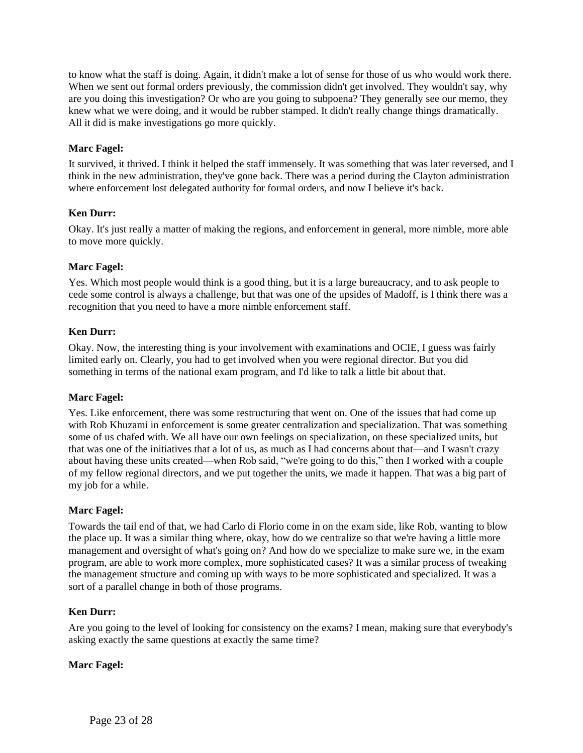to know what the staff is doing. Again, it didn't make a lot of sense for those of us who would work there. When we sent out formal orders previously, the commission didn't get involved. They wouldn't say, why are you doing this investigation? Or who are you going to subpoena? They generally see our memo, they knew what we were doing, and it would be rubber stamped. It didn't really change things dramatically. All it did is make investigations go more quickly.

## **Marc Fagel:**

It survived, it thrived. I think it helped the staff immensely. It was something that was later reversed, and I think in the new administration, they've gone back. There was a period during the Clayton administration where enforcement lost delegated authority for formal orders, and now I believe it's back.

## **Ken Durr:**

Okay. It's just really a matter of making the regions, and enforcement in general, more nimble, more able to move more quickly.

## **Marc Fagel:**

Yes. Which most people would think is a good thing, but it is a large bureaucracy, and to ask people to cede some control is always a challenge, but that was one of the upsides of Madoff, is I think there was a recognition that you need to have a more nimble enforcement staff.

### **Ken Durr:**

Okay. Now, the interesting thing is your involvement with examinations and OCIE, I guess was fairly limited early on. Clearly, you had to get involved when you were regional director. But you did something in terms of the national exam program, and I'd like to talk a little bit about that.

### **Marc Fagel:**

Yes. Like enforcement, there was some restructuring that went on. One of the issues that had come up with Rob Khuzami in enforcement is some greater centralization and specialization. That was something some of us chafed with. We all have our own feelings on specialization, on these specialized units, but that was one of the initiatives that a lot of us, as much as I had concerns about that—and I wasn't crazy about having these units created—when Rob said, "we're going to do this," then I worked with a couple of my fellow regional directors, and we put together the units, we made it happen. That was a big part of my job for a while.

### **Marc Fagel:**

Towards the tail end of that, we had Carlo di Florio come in on the exam side, like Rob, wanting to blow the place up. It was a similar thing where, okay, how do we centralize so that we're having a little more management and oversight of what's going on? And how do we specialize to make sure we, in the exam program, are able to work more complex, more sophisticated cases? It was a similar process of tweaking the management structure and coming up with ways to be more sophisticated and specialized. It was a sort of a parallel change in both of those programs.

### **Ken Durr:**

Are you going to the level of looking for consistency on the exams? I mean, making sure that everybody's asking exactly the same questions at exactly the same time?

### **Marc Fagel:**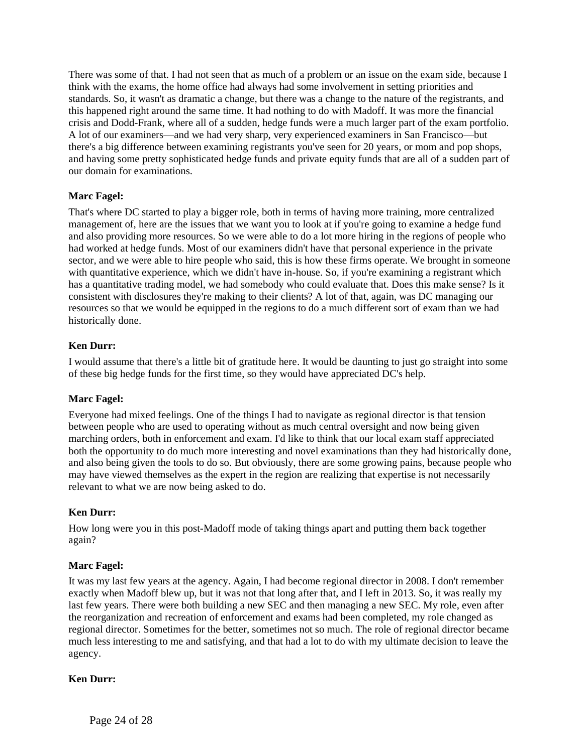There was some of that. I had not seen that as much of a problem or an issue on the exam side, because I think with the exams, the home office had always had some involvement in setting priorities and standards. So, it wasn't as dramatic a change, but there was a change to the nature of the registrants, and this happened right around the same time. It had nothing to do with Madoff. It was more the financial crisis and Dodd-Frank, where all of a sudden, hedge funds were a much larger part of the exam portfolio. A lot of our examiners—and we had very sharp, very experienced examiners in San Francisco—but there's a big difference between examining registrants you've seen for 20 years, or mom and pop shops, and having some pretty sophisticated hedge funds and private equity funds that are all of a sudden part of our domain for examinations.

# **Marc Fagel:**

That's where DC started to play a bigger role, both in terms of having more training, more centralized management of, here are the issues that we want you to look at if you're going to examine a hedge fund and also providing more resources. So we were able to do a lot more hiring in the regions of people who had worked at hedge funds. Most of our examiners didn't have that personal experience in the private sector, and we were able to hire people who said, this is how these firms operate. We brought in someone with quantitative experience, which we didn't have in-house. So, if you're examining a registrant which has a quantitative trading model, we had somebody who could evaluate that. Does this make sense? Is it consistent with disclosures they're making to their clients? A lot of that, again, was DC managing our resources so that we would be equipped in the regions to do a much different sort of exam than we had historically done.

## **Ken Durr:**

I would assume that there's a little bit of gratitude here. It would be daunting to just go straight into some of these big hedge funds for the first time, so they would have appreciated DC's help.

### **Marc Fagel:**

Everyone had mixed feelings. One of the things I had to navigate as regional director is that tension between people who are used to operating without as much central oversight and now being given marching orders, both in enforcement and exam. I'd like to think that our local exam staff appreciated both the opportunity to do much more interesting and novel examinations than they had historically done, and also being given the tools to do so. But obviously, there are some growing pains, because people who may have viewed themselves as the expert in the region are realizing that expertise is not necessarily relevant to what we are now being asked to do.

### **Ken Durr:**

How long were you in this post-Madoff mode of taking things apart and putting them back together again?

### **Marc Fagel:**

It was my last few years at the agency. Again, I had become regional director in 2008. I don't remember exactly when Madoff blew up, but it was not that long after that, and I left in 2013. So, it was really my last few years. There were both building a new SEC and then managing a new SEC. My role, even after the reorganization and recreation of enforcement and exams had been completed, my role changed as regional director. Sometimes for the better, sometimes not so much. The role of regional director became much less interesting to me and satisfying, and that had a lot to do with my ultimate decision to leave the agency.

### **Ken Durr:**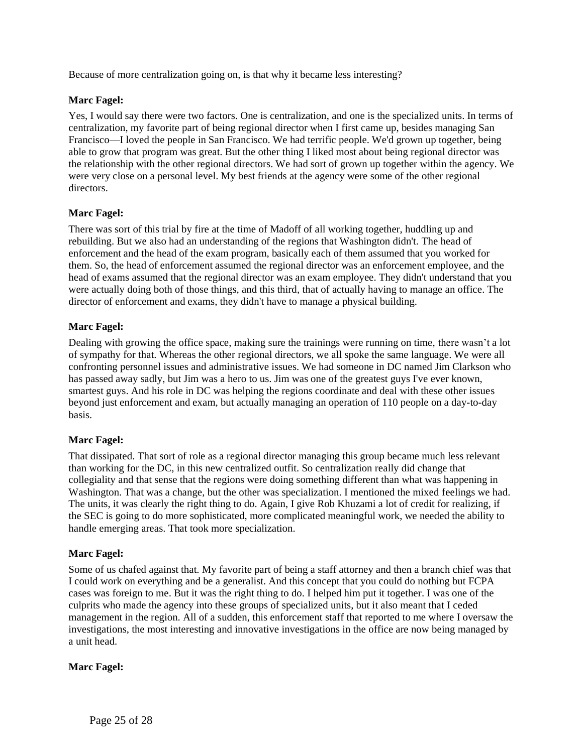Because of more centralization going on, is that why it became less interesting?

### **Marc Fagel:**

Yes, I would say there were two factors. One is centralization, and one is the specialized units. In terms of centralization, my favorite part of being regional director when I first came up, besides managing San Francisco—I loved the people in San Francisco. We had terrific people. We'd grown up together, being able to grow that program was great. But the other thing I liked most about being regional director was the relationship with the other regional directors. We had sort of grown up together within the agency. We were very close on a personal level. My best friends at the agency were some of the other regional directors.

### **Marc Fagel:**

There was sort of this trial by fire at the time of Madoff of all working together, huddling up and rebuilding. But we also had an understanding of the regions that Washington didn't. The head of enforcement and the head of the exam program, basically each of them assumed that you worked for them. So, the head of enforcement assumed the regional director was an enforcement employee, and the head of exams assumed that the regional director was an exam employee. They didn't understand that you were actually doing both of those things, and this third, that of actually having to manage an office. The director of enforcement and exams, they didn't have to manage a physical building.

## **Marc Fagel:**

Dealing with growing the office space, making sure the trainings were running on time, there wasn't a lot of sympathy for that. Whereas the other regional directors, we all spoke the same language. We were all confronting personnel issues and administrative issues. We had someone in DC named Jim Clarkson who has passed away sadly, but Jim was a hero to us. Jim was one of the greatest guys I've ever known, smartest guys. And his role in DC was helping the regions coordinate and deal with these other issues beyond just enforcement and exam, but actually managing an operation of 110 people on a day-to-day basis.

### **Marc Fagel:**

That dissipated. That sort of role as a regional director managing this group became much less relevant than working for the DC, in this new centralized outfit. So centralization really did change that collegiality and that sense that the regions were doing something different than what was happening in Washington. That was a change, but the other was specialization. I mentioned the mixed feelings we had. The units, it was clearly the right thing to do. Again, I give Rob Khuzami a lot of credit for realizing, if the SEC is going to do more sophisticated, more complicated meaningful work, we needed the ability to handle emerging areas. That took more specialization.

### **Marc Fagel:**

Some of us chafed against that. My favorite part of being a staff attorney and then a branch chief was that I could work on everything and be a generalist. And this concept that you could do nothing but FCPA cases was foreign to me. But it was the right thing to do. I helped him put it together. I was one of the culprits who made the agency into these groups of specialized units, but it also meant that I ceded management in the region. All of a sudden, this enforcement staff that reported to me where I oversaw the investigations, the most interesting and innovative investigations in the office are now being managed by a unit head.

### **Marc Fagel:**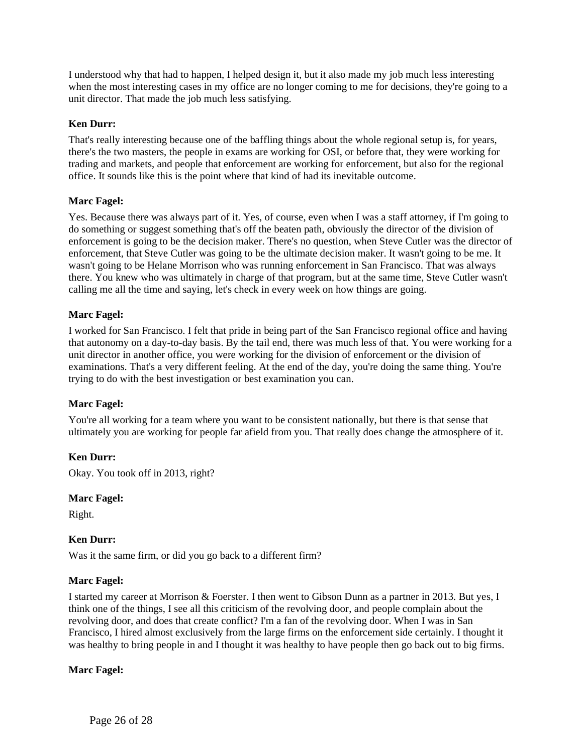I understood why that had to happen, I helped design it, but it also made my job much less interesting when the most interesting cases in my office are no longer coming to me for decisions, they're going to a unit director. That made the job much less satisfying.

## **Ken Durr:**

That's really interesting because one of the baffling things about the whole regional setup is, for years, there's the two masters, the people in exams are working for OSI, or before that, they were working for trading and markets, and people that enforcement are working for enforcement, but also for the regional office. It sounds like this is the point where that kind of had its inevitable outcome.

### **Marc Fagel:**

Yes. Because there was always part of it. Yes, of course, even when I was a staff attorney, if I'm going to do something or suggest something that's off the beaten path, obviously the director of the division of enforcement is going to be the decision maker. There's no question, when Steve Cutler was the director of enforcement, that Steve Cutler was going to be the ultimate decision maker. It wasn't going to be me. It wasn't going to be Helane Morrison who was running enforcement in San Francisco. That was always there. You knew who was ultimately in charge of that program, but at the same time, Steve Cutler wasn't calling me all the time and saying, let's check in every week on how things are going.

### **Marc Fagel:**

I worked for San Francisco. I felt that pride in being part of the San Francisco regional office and having that autonomy on a day-to-day basis. By the tail end, there was much less of that. You were working for a unit director in another office, you were working for the division of enforcement or the division of examinations. That's a very different feeling. At the end of the day, you're doing the same thing. You're trying to do with the best investigation or best examination you can.

### **Marc Fagel:**

You're all working for a team where you want to be consistent nationally, but there is that sense that ultimately you are working for people far afield from you. That really does change the atmosphere of it.

### **Ken Durr:**

Okay. You took off in 2013, right?

### **Marc Fagel:**

Right.

### **Ken Durr:**

Was it the same firm, or did you go back to a different firm?

### **Marc Fagel:**

I started my career at Morrison & Foerster. I then went to Gibson Dunn as a partner in 2013. But yes, I think one of the things, I see all this criticism of the revolving door, and people complain about the revolving door, and does that create conflict? I'm a fan of the revolving door. When I was in San Francisco, I hired almost exclusively from the large firms on the enforcement side certainly. I thought it was healthy to bring people in and I thought it was healthy to have people then go back out to big firms.

### **Marc Fagel:**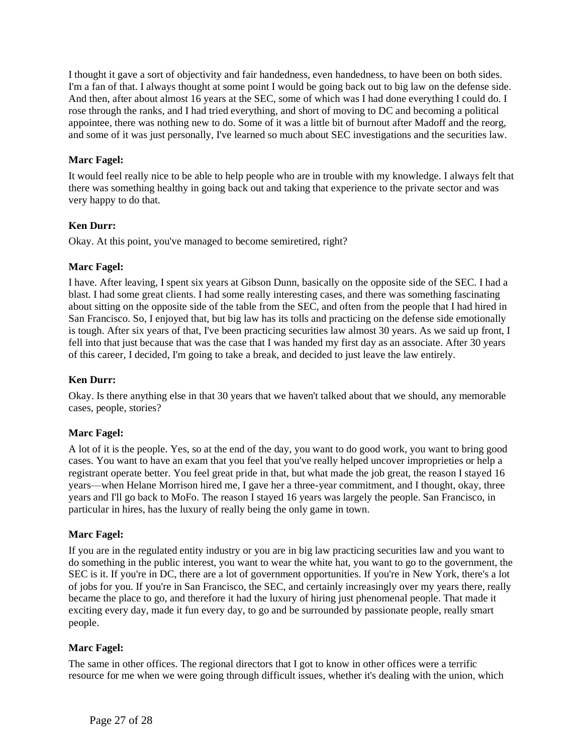I thought it gave a sort of objectivity and fair handedness, even handedness, to have been on both sides. I'm a fan of that. I always thought at some point I would be going back out to big law on the defense side. And then, after about almost 16 years at the SEC, some of which was I had done everything I could do. I rose through the ranks, and I had tried everything, and short of moving to DC and becoming a political appointee, there was nothing new to do. Some of it was a little bit of burnout after Madoff and the reorg, and some of it was just personally, I've learned so much about SEC investigations and the securities law.

## **Marc Fagel:**

It would feel really nice to be able to help people who are in trouble with my knowledge. I always felt that there was something healthy in going back out and taking that experience to the private sector and was very happy to do that.

## **Ken Durr:**

Okay. At this point, you've managed to become semiretired, right?

### **Marc Fagel:**

I have. After leaving, I spent six years at Gibson Dunn, basically on the opposite side of the SEC. I had a blast. I had some great clients. I had some really interesting cases, and there was something fascinating about sitting on the opposite side of the table from the SEC, and often from the people that I had hired in San Francisco. So, I enjoyed that, but big law has its tolls and practicing on the defense side emotionally is tough. After six years of that, I've been practicing securities law almost 30 years. As we said up front, I fell into that just because that was the case that I was handed my first day as an associate. After 30 years of this career, I decided, I'm going to take a break, and decided to just leave the law entirely.

### **Ken Durr:**

Okay. Is there anything else in that 30 years that we haven't talked about that we should, any memorable cases, people, stories?

### **Marc Fagel:**

A lot of it is the people. Yes, so at the end of the day, you want to do good work, you want to bring good cases. You want to have an exam that you feel that you've really helped uncover improprieties or help a registrant operate better. You feel great pride in that, but what made the job great, the reason I stayed 16 years—when Helane Morrison hired me, I gave her a three-year commitment, and I thought, okay, three years and I'll go back to MoFo. The reason I stayed 16 years was largely the people. San Francisco, in particular in hires, has the luxury of really being the only game in town.

### **Marc Fagel:**

If you are in the regulated entity industry or you are in big law practicing securities law and you want to do something in the public interest, you want to wear the white hat, you want to go to the government, the SEC is it. If you're in DC, there are a lot of government opportunities. If you're in New York, there's a lot of jobs for you. If you're in San Francisco, the SEC, and certainly increasingly over my years there, really became the place to go, and therefore it had the luxury of hiring just phenomenal people. That made it exciting every day, made it fun every day, to go and be surrounded by passionate people, really smart people.

### **Marc Fagel:**

The same in other offices. The regional directors that I got to know in other offices were a terrific resource for me when we were going through difficult issues, whether it's dealing with the union, which